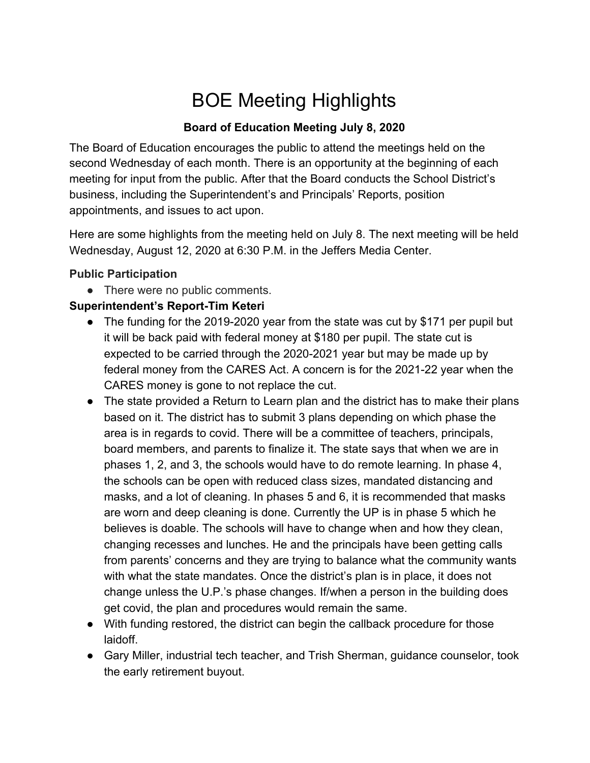# BOE Meeting Highlights

#### **Board of Education Meeting July 8, 2020**

The Board of Education encourages the public to attend the meetings held on the second Wednesday of each month. There is an opportunity at the beginning of each meeting for input from the public. After that the Board conducts the School District's business, including the Superintendent's and Principals' Reports, position appointments, and issues to act upon.

Here are some highlights from the meeting held on July 8. The next meeting will be held Wednesday, August 12, 2020 at 6:30 P.M. in the Jeffers Media Center.

#### **Public Participation**

• There were no public comments.

## **Superintendent's Report-Tim Keteri**

- The funding for the 2019-2020 year from the state was cut by \$171 per pupil but it will be back paid with federal money at \$180 per pupil. The state cut is expected to be carried through the 2020-2021 year but may be made up by federal money from the CARES Act. A concern is for the 2021-22 year when the CARES money is gone to not replace the cut.
- The state provided a Return to Learn plan and the district has to make their plans based on it. The district has to submit 3 plans depending on which phase the area is in regards to covid. There will be a committee of teachers, principals, board members, and parents to finalize it. The state says that when we are in phases 1, 2, and 3, the schools would have to do remote learning. In phase 4, the schools can be open with reduced class sizes, mandated distancing and masks, and a lot of cleaning. In phases 5 and 6, it is recommended that masks are worn and deep cleaning is done. Currently the UP is in phase 5 which he believes is doable. The schools will have to change when and how they clean, changing recesses and lunches. He and the principals have been getting calls from parents' concerns and they are trying to balance what the community wants with what the state mandates. Once the district's plan is in place, it does not change unless the U.P.'s phase changes. If/when a person in the building does get covid, the plan and procedures would remain the same.
- With funding restored, the district can begin the callback procedure for those laidoff.
- Gary Miller, industrial tech teacher, and Trish Sherman, guidance counselor, took the early retirement buyout.